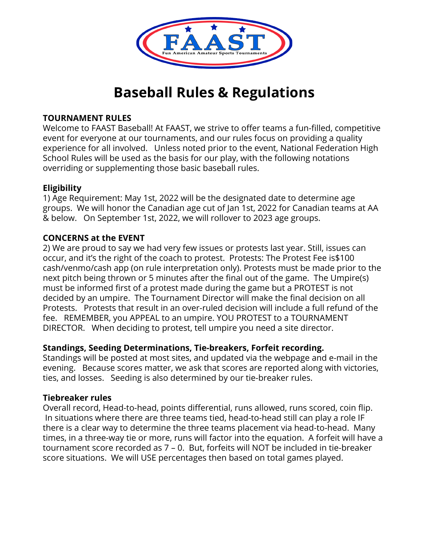

### **TOURNAMENT RULES**

Welcome to FAAST Baseball! At FAAST, we strive to offer teams a fun-filled, competitive event for everyone at our tournaments, and our rules focus on providing a quality experience for all involved. Unless noted prior to the event, National Federation High School Rules will be used as the basis for our play, with the following notations overriding or supplementing those basic baseball rules.

## **Eligibility**

1) Age Requirement: May 1st, 2022 will be the designated date to determine age groups. We will honor the Canadian age cut of Jan 1st, 2022 for Canadian teams at AA & below. On September 1st, 2022, we will rollover to 2023 age groups.

## **CONCERNS at the EVENT**

2) We are proud to say we had very few issues or protests last year. Still, issues can occur, and it's the right of the coach to protest. Protests: The Protest Fee is\$100 cash/venmo/cash app (on rule interpretation only). Protests must be made prior to the next pitch being thrown or 5 minutes after the final out of the game. The Umpire(s) must be informed first of a protest made during the game but a PROTEST is not decided by an umpire. The Tournament Director will make the final decision on all Protests. Protests that result in an over-ruled decision will include a full refund of the fee. REMEMBER, you APPEAL to an umpire. YOU PROTEST to a TOURNAMENT DIRECTOR. When deciding to protest, tell umpire you need a site director.

## **Standings, Seeding Determinations, Tie-breakers, Forfeit recording.**

Standings will be posted at most sites, and updated via the webpage and e-mail in the evening. Because scores matter, we ask that scores are reported along with victories, ties, and losses. Seeding is also determined by our tie-breaker rules.

## **Tiebreaker rules**

Overall record, Head-to-head, points differential, runs allowed, runs scored, coin flip. In situations where there are three teams tied, head-to-head still can play a role IF there is a clear way to determine the three teams placement via head-to-head. Many times, in a three-way tie or more, runs will factor into the equation. A forfeit will have a tournament score recorded as 7 – 0. But, forfeits will NOT be included in tie-breaker score situations. We will USE percentages then based on total games played.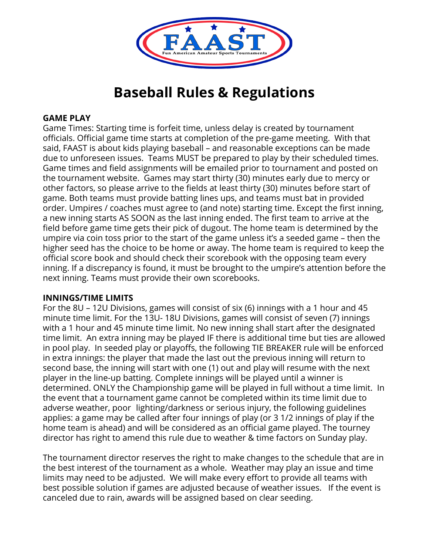

### **GAME PLAY**

Game Times: Starting time is forfeit time, unless delay is created by tournament officials. Official game time starts at completion of the pre-game meeting. With that said, FAAST is about kids playing baseball – and reasonable exceptions can be made due to unforeseen issues. Teams MUST be prepared to play by their scheduled times. Game times and field assignments will be emailed prior to tournament and posted on the tournament website. Games may start thirty (30) minutes early due to mercy or other factors, so please arrive to the fields at least thirty (30) minutes before start of game. Both teams must provide batting lines ups, and teams must bat in provided order. Umpires / coaches must agree to (and note) starting time. Except the first inning, a new inning starts AS SOON as the last inning ended. The first team to arrive at the field before game time gets their pick of dugout. The home team is determined by the umpire via coin toss prior to the start of the game unless it's a seeded game – then the higher seed has the choice to be home or away. The home team is required to keep the official score book and should check their scorebook with the opposing team every inning. If a discrepancy is found, it must be brought to the umpire's attention before the next inning. Teams must provide their own scorebooks.

#### **INNINGS/TIME LIMITS**

For the 8U – 12U Divisions, games will consist of six (6) innings with a 1 hour and 45 minute time limit. For the 13U- 18U Divisions, games will consist of seven (7) innings with a 1 hour and 45 minute time limit. No new inning shall start after the designated time limit. An extra inning may be played IF there is additional time but ties are allowed in pool play. In seeded play or playoffs, the following TIE BREAKER rule will be enforced in extra innings: the player that made the last out the previous inning will return to second base, the inning will start with one (1) out and play will resume with the next player in the line-up batting. Complete innings will be played until a winner is determined. ONLY the Championship game will be played in full without a time limit. In the event that a tournament game cannot be completed within its time limit due to adverse weather, poor lighting/darkness or serious injury, the following guidelines applies: a game may be called after four innings of play (or 3 1/2 innings of play if the home team is ahead) and will be considered as an official game played. The tourney director has right to amend this rule due to weather & time factors on Sunday play.

The tournament director reserves the right to make changes to the schedule that are in the best interest of the tournament as a whole. Weather may play an issue and time limits may need to be adjusted. We will make every effort to provide all teams with best possible solution if games are adjusted because of weather issues. If the event is canceled due to rain, awards will be assigned based on clear seeding.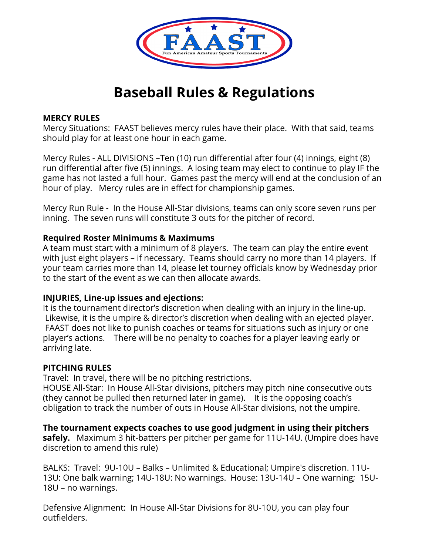

### **MERCY RULES**

Mercy Situations: FAAST believes mercy rules have their place. With that said, teams should play for at least one hour in each game.

Mercy Rules - ALL DIVISIONS –Ten (10) run differential after four (4) innings, eight (8) run differential after five (5) innings. A losing team may elect to continue to play IF the game has not lasted a full hour. Games past the mercy will end at the conclusion of an hour of play. Mercy rules are in effect for championship games.

Mercy Run Rule - In the House All-Star divisions, teams can only score seven runs per inning. The seven runs will constitute 3 outs for the pitcher of record.

#### **Required Roster Minimums & Maximums**

A team must start with a minimum of 8 players. The team can play the entire event with just eight players – if necessary. Teams should carry no more than 14 players. If your team carries more than 14, please let tourney officials know by Wednesday prior to the start of the event as we can then allocate awards.

#### **INJURIES, Line-up issues and ejections:**

It is the tournament director's discretion when dealing with an injury in the line-up. Likewise, it is the umpire & director's discretion when dealing with an ejected player. FAAST does not like to punish coaches or teams for situations such as injury or one player's actions. There will be no penalty to coaches for a player leaving early or arriving late.

#### **PITCHING RULES**

Travel: In travel, there will be no pitching restrictions.

HOUSE All-Star: In House All-Star divisions, pitchers may pitch nine consecutive outs (they cannot be pulled then returned later in game). It is the opposing coach's obligation to track the number of outs in House All-Star divisions, not the umpire.

**The tournament expects coaches to use good judgment in using their pitchers safely.** Maximum 3 hit-batters per pitcher per game for 11U-14U. (Umpire does have discretion to amend this rule)

BALKS: Travel: 9U-10U – Balks – Unlimited & Educational; Umpire's discretion. 11U-13U: One balk warning; 14U-18U: No warnings. House: 13U-14U – One warning; 15U-18U – no warnings.

Defensive Alignment: In House All-Star Divisions for 8U-10U, you can play four outfielders.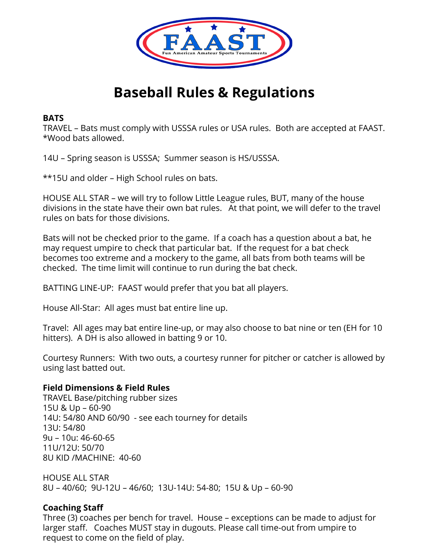

### **BATS**

TRAVEL – Bats must comply with USSSA rules or USA rules. Both are accepted at FAAST. \*Wood bats allowed.

14U – Spring season is USSSA; Summer season is HS/USSSA.

\*\*15U and older – High School rules on bats.

HOUSE ALL STAR – we will try to follow Little League rules, BUT, many of the house divisions in the state have their own bat rules. At that point, we will defer to the travel rules on bats for those divisions.

Bats will not be checked prior to the game. If a coach has a question about a bat, he may request umpire to check that particular bat. If the request for a bat check becomes too extreme and a mockery to the game, all bats from both teams will be checked. The time limit will continue to run during the bat check.

BATTING LINE-UP: FAAST would prefer that you bat all players.

House All-Star: All ages must bat entire line up.

Travel: All ages may bat entire line-up, or may also choose to bat nine or ten (EH for 10 hitters). A DH is also allowed in batting 9 or 10.

Courtesy Runners: With two outs, a courtesy runner for pitcher or catcher is allowed by using last batted out.

#### **Field Dimensions & Field Rules**

TRAVEL Base/pitching rubber sizes 15U & Up – 60-90 14U: 54/80 AND 60/90 - see each tourney for details 13U: 54/80 9u – 10u: 46-60-65 11U/12U: 50/70 8U KID /MACHINE: 40-60

HOUSE ALL STAR 8U – 40/60; 9U-12U – 46/60; 13U-14U: 54-80; 15U & Up – 60-90

## **Coaching Staff**

Three (3) coaches per bench for travel. House – exceptions can be made to adjust for larger staff. Coaches MUST stay in dugouts. Please call time-out from umpire to request to come on the field of play.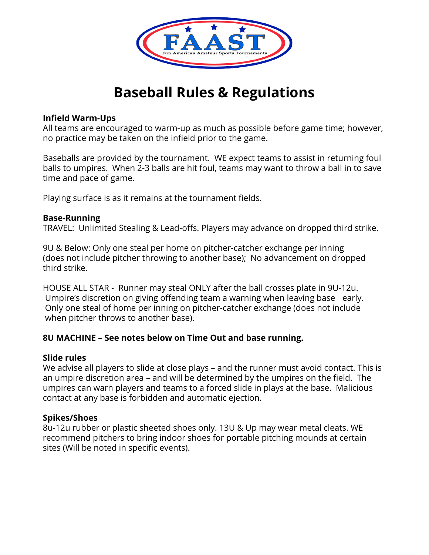

### **Infield Warm-Ups**

All teams are encouraged to warm-up as much as possible before game time; however, no practice may be taken on the infield prior to the game.

Baseballs are provided by the tournament. WE expect teams to assist in returning foul balls to umpires. When 2-3 balls are hit foul, teams may want to throw a ball in to save time and pace of game.

Playing surface is as it remains at the tournament fields.

### **Base-Running**

TRAVEL: Unlimited Stealing & Lead-offs. Players may advance on dropped third strike.

9U & Below: Only one steal per home on pitcher-catcher exchange per inning (does not include pitcher throwing to another base); No advancement on dropped third strike.

HOUSE ALL STAR - Runner may steal ONLY after the ball crosses plate in 9U-12u. Umpire's discretion on giving offending team a warning when leaving base early. Only one steal of home per inning on pitcher-catcher exchange (does not include when pitcher throws to another base).

## **8U MACHINE – See notes below on Time Out and base running.**

#### **Slide rules**

We advise all players to slide at close plays – and the runner must avoid contact. This is an umpire discretion area – and will be determined by the umpires on the field. The umpires can warn players and teams to a forced slide in plays at the base. Malicious contact at any base is forbidden and automatic ejection.

## **Spikes/Shoes**

8u-12u rubber or plastic sheeted shoes only. 13U & Up may wear metal cleats. WE recommend pitchers to bring indoor shoes for portable pitching mounds at certain sites (Will be noted in specific events).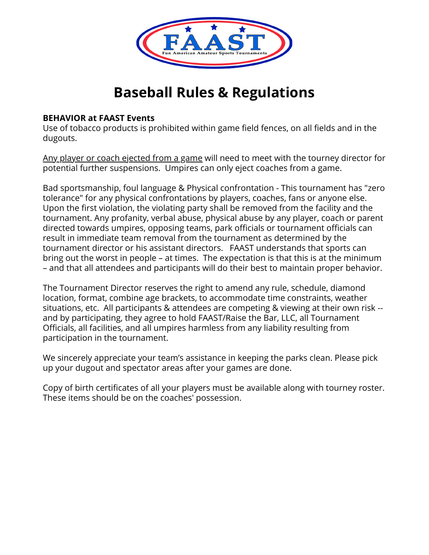

#### **BEHAVIOR at FAAST Events**

Use of tobacco products is prohibited within game field fences, on all fields and in the dugouts.

Any player or coach ejected from a game will need to meet with the tourney director for potential further suspensions. Umpires can only eject coaches from a game.

Bad sportsmanship, foul language & Physical confrontation - This tournament has "zero tolerance" for any physical confrontations by players, coaches, fans or anyone else. Upon the first violation, the violating party shall be removed from the facility and the tournament. Any profanity, verbal abuse, physical abuse by any player, coach or parent directed towards umpires, opposing teams, park officials or tournament officials can result in immediate team removal from the tournament as determined by the tournament director or his assistant directors. FAAST understands that sports can bring out the worst in people – at times. The expectation is that this is at the minimum – and that all attendees and participants will do their best to maintain proper behavior.

The Tournament Director reserves the right to amend any rule, schedule, diamond location, format, combine age brackets, to accommodate time constraints, weather situations, etc. All participants & attendees are competing & viewing at their own risk - and by participating, they agree to hold FAAST/Raise the Bar, LLC, all Tournament Officials, all facilities, and all umpires harmless from any liability resulting from participation in the tournament.

We sincerely appreciate your team's assistance in keeping the parks clean. Please pick up your dugout and spectator areas after your games are done.

Copy of birth certificates of all your players must be available along with tourney roster. These items should be on the coaches' possession.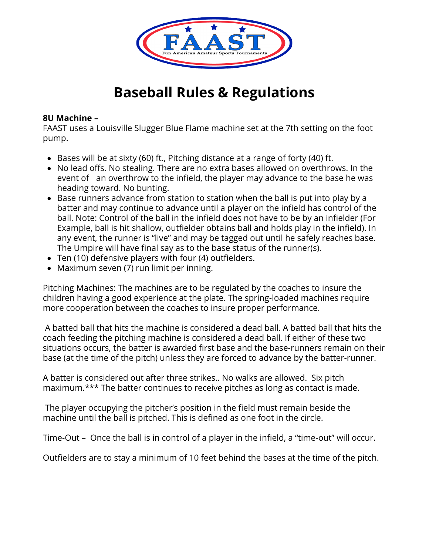

## **8U Machine –**

FAAST uses a Louisville Slugger Blue Flame machine set at the 7th setting on the foot pump.

- $\bullet$  Bases will be at sixty (60) ft., Pitching distance at a range of forty (40) ft.
- No lead offs. No stealing. There are no extra bases allowed on overthrows. In the event of an overthrow to the infield, the player may advance to the base he was heading toward. No bunting.
- Base runners advance from station to station when the ball is put into play by a batter and may continue to advance until a player on the infield has control of the ball. Note: Control of the ball in the infield does not have to be by an infielder (For Example, ball is hit shallow, outfielder obtains ball and holds play in the infield). In any event, the runner is "live" and may be tagged out until he safely reaches base. The Umpire will have final say as to the base status of the runner(s).
- Ten (10) defensive players with four (4) outfielders.
- Maximum seven (7) run limit per inning.

Pitching Machines: The machines are to be regulated by the coaches to insure the children having a good experience at the plate. The spring-loaded machines require more cooperation between the coaches to insure proper performance.

A batted ball that hits the machine is considered a dead ball. A batted ball that hits the coach feeding the pitching machine is considered a dead ball. If either of these two situations occurs, the batter is awarded first base and the base-runners remain on their base (at the time of the pitch) unless they are forced to advance by the batter-runner.

A batter is considered out after three strikes.. No walks are allowed. Six pitch maximum.\*\*\* The batter continues to receive pitches as long as contact is made.

The player occupying the pitcher's position in the field must remain beside the machine until the ball is pitched. This is defined as one foot in the circle.

Time-Out – Once the ball is in control of a player in the infield, a "time-out" will occur.

Outfielders are to stay a minimum of 10 feet behind the bases at the time of the pitch.